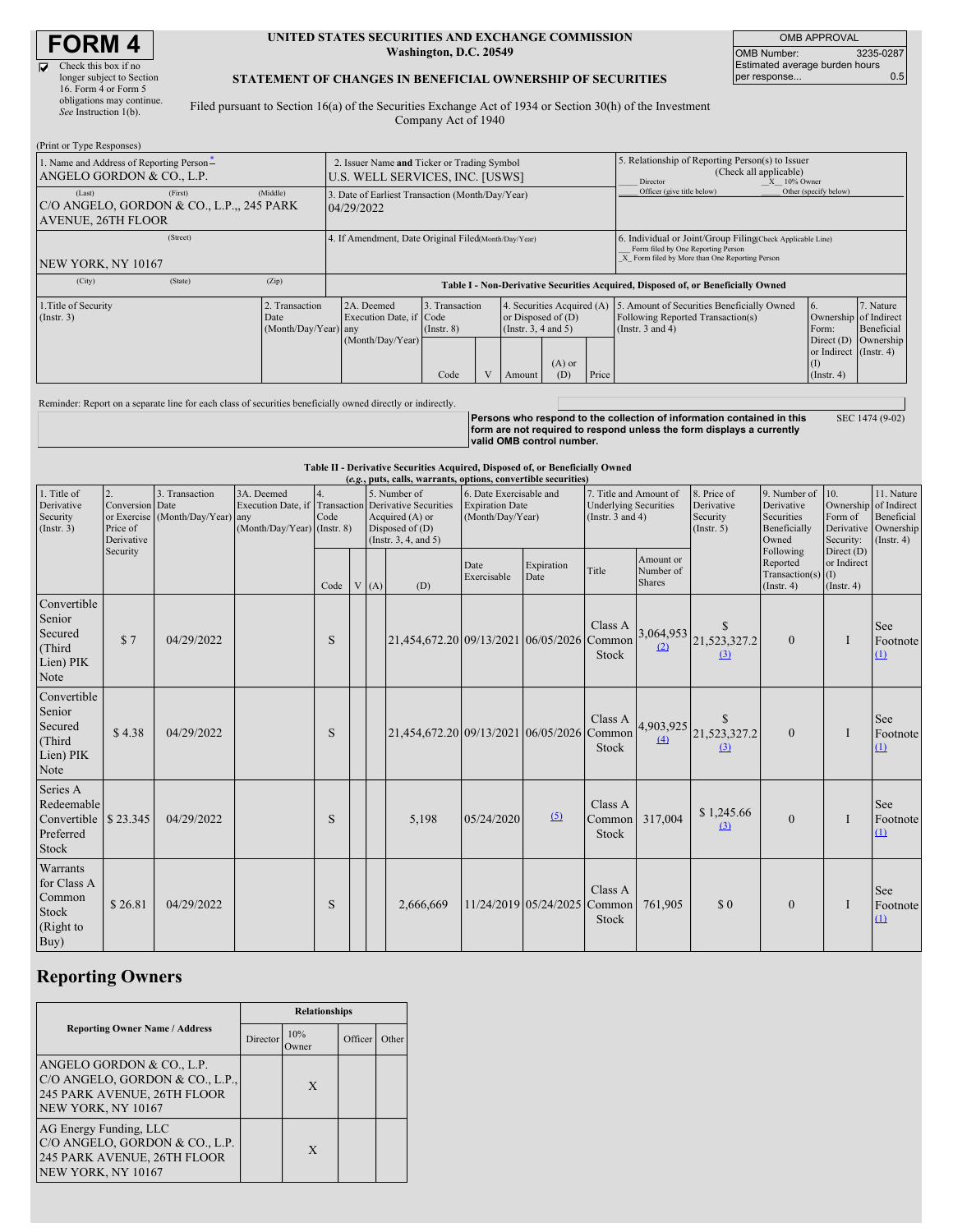# **FORM 4**

| Check this box if no      |
|---------------------------|
| longer subject to Section |
| 16. Form 4 or Form 5      |
| obligations may continue. |
| See Instruction 1(b).     |

#### **UNITED STATES SECURITIES AND EXCHANGE COMMISSION Washington, D.C. 20549**

OMB APPROVAL OMB Number: 3235-0287 Estimated average burden hours per response... 0.5

### **STATEMENT OF CHANGES IN BENEFICIAL OWNERSHIP OF SECURITIES**

Filed pursuant to Section 16(a) of the Securities Exchange Act of 1934 or Section 30(h) of the Investment Company Act of 1940

| (Print or Type Responses)                                                                                   |         |                                        |                                                                                  |                                   |                                                                                |        |                 |                                                                                                            |                                                                                                                                                    |                                                     |                 |
|-------------------------------------------------------------------------------------------------------------|---------|----------------------------------------|----------------------------------------------------------------------------------|-----------------------------------|--------------------------------------------------------------------------------|--------|-----------------|------------------------------------------------------------------------------------------------------------|----------------------------------------------------------------------------------------------------------------------------------------------------|-----------------------------------------------------|-----------------|
| 1. Name and Address of Reporting Person-<br>ANGELO GORDON & CO., L.P.                                       |         |                                        | 2. Issuer Name and Ticker or Trading Symbol<br>U.S. WELL SERVICES, INC. [USWS]   |                                   |                                                                                |        |                 | 5. Relationship of Reporting Person(s) to Issuer<br>(Check all applicable)<br>$X = 10\%$ Owner<br>Director |                                                                                                                                                    |                                                     |                 |
| (Middle)<br>(First)<br>(Last)<br>C/O ANGELO, GORDON & CO., L.P.,, 245 PARK<br><b>AVENUE, 26TH FLOOR</b>     |         |                                        | 3. Date of Earliest Transaction (Month/Day/Year)<br>04/29/2022                   |                                   |                                                                                |        |                 | Officer (give title below)                                                                                 | Other (specify below)                                                                                                                              |                                                     |                 |
| (Street)<br>NEW YORK, NY 10167                                                                              |         |                                        | 4. If Amendment, Date Original Filed(Month/Day/Year)                             |                                   |                                                                                |        |                 |                                                                                                            | 6. Individual or Joint/Group Filing(Check Applicable Line)<br>Form filed by One Reporting Person<br>X Form filed by More than One Reporting Person |                                                     |                 |
| (City)                                                                                                      | (State) | (Zip)                                  | Table I - Non-Derivative Securities Acquired, Disposed of, or Beneficially Owned |                                   |                                                                                |        |                 |                                                                                                            |                                                                                                                                                    |                                                     |                 |
| 1. Title of Security<br>(Insert. 3)<br>Date                                                                 |         | 2. Transaction<br>(Month/Day/Year) any | 2A. Deemed<br>Execution Date, if Code                                            | 3. Transaction<br>$($ Instr. $8)$ | 4. Securities Acquired (A)<br>or Disposed of $(D)$<br>(Instr. $3, 4$ and $5$ ) |        |                 | 5. Amount of Securities Beneficially Owned<br>Following Reported Transaction(s)<br>(Instr. $3$ and $4$ )   | 7. Nature<br>Ownership of Indirect<br>Beneficial<br>Form:                                                                                          |                                                     |                 |
|                                                                                                             |         |                                        | (Month/Day/Year)                                                                 | Code                              |                                                                                | Amount | $(A)$ or<br>(D) | Price                                                                                                      |                                                                                                                                                    | Direct (D)<br>or Indirect (Instr. 4)<br>(Insert. 4) | Ownership       |
| Reminder: Report on a separate line for each class of securities beneficially owned directly or indirectly. |         |                                        |                                                                                  |                                   |                                                                                |        |                 |                                                                                                            |                                                                                                                                                    |                                                     |                 |
|                                                                                                             |         |                                        |                                                                                  |                                   |                                                                                |        |                 |                                                                                                            | Persons who respond to the collection of information contained in this                                                                             |                                                     | SEC 1474 (9-02) |

Persons who respond to the collection of information contained in this<br>form are not required to respond unless the form displays a currently<br>valid OMB control number.

**Table II - Derivative Securities Acquired, Disposed of, or Beneficially Owned**

| (e.g., puts, calls, warrants, options, convertible securities)       |                                           |                                                    |                                                                 |            |  |      |                                                                                                                           |                                                                       |                       |                                                                                 |                                         |                                                      |                                                                   |                                                                              |                                              |
|----------------------------------------------------------------------|-------------------------------------------|----------------------------------------------------|-----------------------------------------------------------------|------------|--|------|---------------------------------------------------------------------------------------------------------------------------|-----------------------------------------------------------------------|-----------------------|---------------------------------------------------------------------------------|-----------------------------------------|------------------------------------------------------|-------------------------------------------------------------------|------------------------------------------------------------------------------|----------------------------------------------|
| 1. Title of<br>Derivative<br>Security<br>(Insert. 3)                 | Conversion Date<br>Price of<br>Derivative | 3. Transaction<br>or Exercise (Month/Day/Year) any | 3A. Deemed<br>Execution Date, if<br>(Month/Day/Year) (Instr. 8) | 4.<br>Code |  |      | 5. Number of<br><b>Transaction</b> Derivative Securities<br>Acquired (A) or<br>Disposed of $(D)$<br>(Insert. 3, 4, and 5) | 6. Date Exercisable and<br><b>Expiration Date</b><br>(Month/Day/Year) |                       | 7. Title and Amount of<br><b>Underlying Securities</b><br>(Instr. $3$ and $4$ ) |                                         | 8. Price of<br>Derivative<br>Security<br>(Insert. 5) | 9. Number of<br>Derivative<br>Securities<br>Beneficially<br>Owned | 10.<br>Ownership of Indirect<br>Form of<br>Derivative Ownership<br>Security: | 11. Nature<br>Beneficial<br>$($ Instr. 4 $)$ |
|                                                                      | Security                                  |                                                    |                                                                 | Code       |  | V(A) | (D)                                                                                                                       | Date<br>Exercisable                                                   | Expiration<br>Date    | Title                                                                           | Amount or<br>Number of<br><b>Shares</b> |                                                      | Following<br>Reported<br>Transaction(s) $(I)$<br>$($ Instr. 4 $)$ | Direct (D)<br>or Indirect<br>(Insert. 4)                                     |                                              |
| Convertible<br>Senior<br>Secured<br>(Third<br>Lien) PIK<br>Note      | \$7                                       | 04/29/2022                                         |                                                                 | S          |  |      | 21,454,672.20 09/13/2021 06/05/2026 Common                                                                                |                                                                       |                       | Class A<br><b>Stock</b>                                                         | 3,064,953<br>(2)                        | \$<br>21,523,327.2<br>(3)                            | $\theta$                                                          | Ι                                                                            | See<br>Footnote<br>(1)                       |
| Convertible<br>Senior<br>Secured<br>(Third<br>Lien) PIK<br>Note      | \$4.38                                    | 04/29/2022                                         |                                                                 | S          |  |      | 21,454,672.20 09/13/2021 06/05/2026 Common                                                                                |                                                                       |                       | Class A<br><b>Stock</b>                                                         | 4,903,925<br>$\left(4\right)$           | \$.<br>21,523,327.2<br>(3)                           | $\theta$                                                          | I                                                                            | See<br>Footnote<br>(1)                       |
| Series A<br>Redeemable<br>Convertible \$23.345<br>Preferred<br>Stock |                                           | 04/29/2022                                         |                                                                 | S          |  |      | 5,198                                                                                                                     | 05/24/2020                                                            | (5)                   | Class A<br>Common<br>Stock                                                      | 317,004                                 | \$1,245.66<br>$\left( 3\right)$                      | $\Omega$                                                          | Ι                                                                            | See<br>Footnote<br>(1)                       |
| Warrants<br>for Class A<br>Common<br>Stock<br>(Right to<br>Buy)      | \$26.81                                   | 04/29/2022                                         |                                                                 | S          |  |      | 2,666,669                                                                                                                 |                                                                       | 11/24/2019 05/24/2025 | Class A<br>Common<br>Stock                                                      | 761,905                                 | $\Omega$                                             | $\overline{0}$                                                    | I                                                                            | See<br>Footnote<br>(1)                       |

# **Reporting Owners**

|                                                                                                                   | <b>Relationships</b> |              |         |       |  |  |
|-------------------------------------------------------------------------------------------------------------------|----------------------|--------------|---------|-------|--|--|
| <b>Reporting Owner Name / Address</b>                                                                             | Director             | 10%<br>Owner | Officer | Other |  |  |
| ANGELO GORDON & CO., L.P.<br>C/O ANGELO, GORDON & CO., L.P.,<br>245 PARK AVENUE, 26TH FLOOR<br>NEW YORK, NY 10167 |                      | X            |         |       |  |  |
| AG Energy Funding, LLC<br>C/O ANGELO, GORDON & CO., L.P.<br>245 PARK AVENUE, 26TH FLOOR<br>NEW YORK, NY 10167     |                      | X            |         |       |  |  |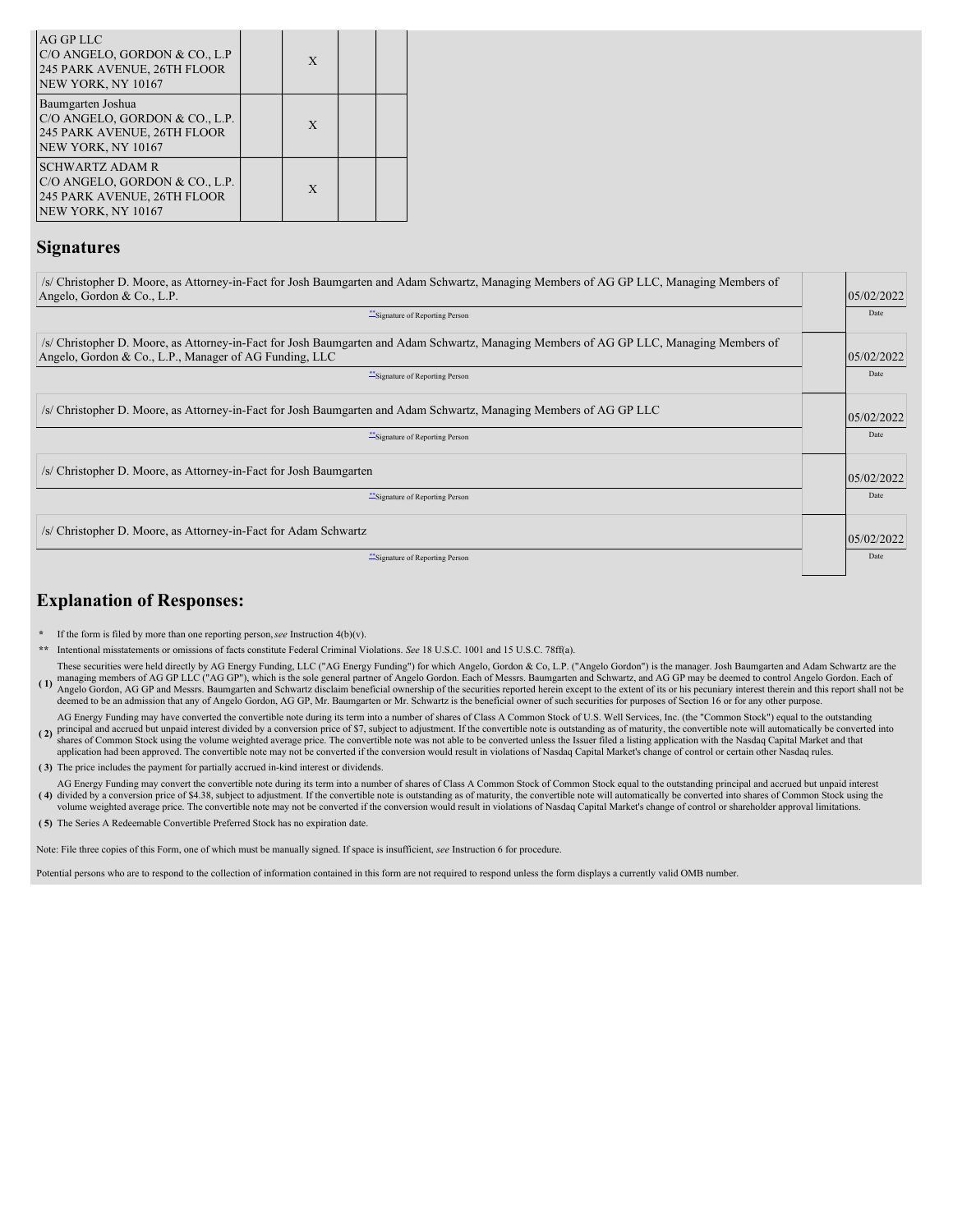| <b>AG GP LLC</b><br>C/O ANGELO, GORDON & CO., L.P<br>245 PARK AVENUE, 26TH FLOOR<br>NEW YORK, NY 10167        | $\mathbf{x}$ |  |
|---------------------------------------------------------------------------------------------------------------|--------------|--|
| Baumgarten Joshua<br>C/O ANGELO, GORDON & CO., L.P.<br>245 PARK AVENUE, 26TH FLOOR<br>NEW YORK, NY 10167      | $\mathbf{x}$ |  |
| <b>SCHWARTZ ADAM R</b><br>C/O ANGELO, GORDON & CO., L.P.<br>245 PARK AVENUE, 26TH FLOOR<br>NEW YORK, NY 10167 | X            |  |

### **Signatures**

| /s/ Christopher D. Moore, as Attorney-in-Fact for Josh Baumgarten and Adam Schwartz, Managing Members of AG GP LLC, Managing Members of<br>Angelo, Gordon & Co., L.P.<br>Signature of Reporting Person                             | 05/02/2022<br>Date |
|------------------------------------------------------------------------------------------------------------------------------------------------------------------------------------------------------------------------------------|--------------------|
| /s/ Christopher D. Moore, as Attorney-in-Fact for Josh Baumgarten and Adam Schwartz, Managing Members of AG GP LLC, Managing Members of<br>Angelo, Gordon & Co., L.P., Manager of AG Funding, LLC<br>Signature of Reporting Person | 05/02/2022<br>Date |
| /s/ Christopher D. Moore, as Attorney-in-Fact for Josh Baumgarten and Adam Schwartz, Managing Members of AG GP LLC<br>Signature of Reporting Person                                                                                | 05/02/2022<br>Date |
| /s/ Christopher D. Moore, as Attorney-in-Fact for Josh Baumgarten                                                                                                                                                                  | 05/02/2022         |
| "Signature of Reporting Person                                                                                                                                                                                                     | Date               |
| /s/ Christopher D. Moore, as Attorney-in-Fact for Adam Schwartz<br>Signature of Reporting Person                                                                                                                                   | 05/02/2022<br>Date |

## **Explanation of Responses:**

- **\*** If the form is filed by more than one reporting person,*see* Instruction 4(b)(v).
- **\*\*** Intentional misstatements or omissions of facts constitute Federal Criminal Violations. *See* 18 U.S.C. 1001 and 15 U.S.C. 78ff(a).
- (1) managing members of AG GP LLC ("AG GP"), which is the sole general partner of Angelo Gordon. Each of Messrs. Baumgarten and Schwartz, and AG GP may be deemed to control Angelo Gordon. Each of<br>Angelo Gordon, AG GP and M These securities were held directly by AG Energy Funding, LLC ("AG Energy Funding") for which Angelo, Gordon & Co, L.P. ("Angelo Gordon") is the manager. Josh Baumgarten and Adam Schwartz are the deemed to be an admission that any of Angelo Gordon, AG GP, Mr. Baumgarten or Mr. Schwartz is the beneficial owner of such securities for purposes of Section 16 or for any other purpose.
- **( 2)** AG Energy Funding may have converted the convertible note during its term into a number of shares of Class A Common Stock of U.S. Well Services, Inc. (the "Common Stock") equal to the outstanding principal and accrued but
- application had been approved. The convertible note may not be converted if the conversion would result in violations of Nasdaq Capital Market's change of control or certain other Nasdaq rules.
- **( 3)** The price includes the payment for partially accrued in-kind interest or dividends.
- (4) divided by a conversion price of \$4.38, subject to adjustment. If the convertible note is outstanding as of maturity, the convertible note will automatically be converted into shares of Common Stock using the AG Energy Funding may convert the convertible note during its term into a number of shares of Class A Common Stock of Common Stock equal to the outstanding principal and accrued but unpaid interest volume weighted average price. The convertible note may not be converted if the conversion would result in violations of Nasdaq Capital Market's change of control or shareholder approval limitations.
- **( 5)** The Series A Redeemable Convertible Preferred Stock has no expiration date.

Note: File three copies of this Form, one of which must be manually signed. If space is insufficient, *see* Instruction 6 for procedure.

Potential persons who are to respond to the collection of information contained in this form are not required to respond unless the form displays a currently valid OMB number.